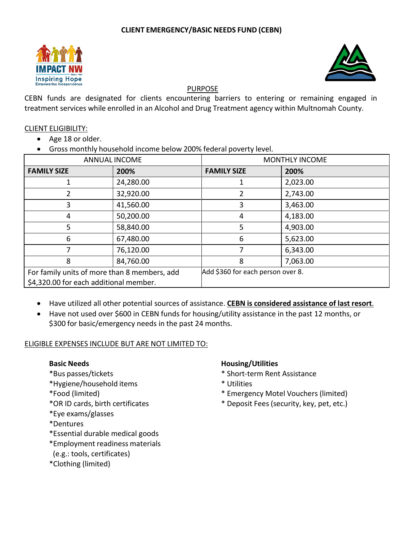



## PURPOSE

CEBN funds are designated for clients encountering barriers to entering or remaining engaged in treatment services while enrolled in an Alcohol and Drug Treatment agency within Multnomah County.

### CLIENT ELIGIBILITY:

- Age 18 or older.
- Gross monthly household income below 200% federal poverty level.

| ANNUAL INCOME                                |           | <b>MONTHLY INCOME</b>             |          |
|----------------------------------------------|-----------|-----------------------------------|----------|
| <b>FAMILY SIZE</b>                           | 200%      | <b>FAMILY SIZE</b>                | 200%     |
|                                              | 24,280.00 |                                   | 2,023.00 |
|                                              | 32,920.00 | 2                                 | 2,743.00 |
| 3                                            | 41,560.00 | 3                                 | 3,463.00 |
| 4                                            | 50,200.00 | 4                                 | 4,183.00 |
| 5                                            | 58,840.00 | 5                                 | 4,903.00 |
| 6                                            | 67,480.00 | 6                                 | 5,623.00 |
| 7                                            | 76,120.00 | 7                                 | 6,343.00 |
| 8                                            | 84,760.00 | 8                                 | 7,063.00 |
| For family units of more than 8 members, add |           | Add \$360 for each person over 8. |          |
| \$4,320.00 for each additional member.       |           |                                   |          |

- Have utilized all other potential sources of assistance. **CEBN is considered assistance of last resort**.
- Have not used over \$600 in CEBN funds for housing/utility assistance in the past 12 months, or \$300 for basic/emergency needs in the past 24 months.

# ELIGIBLE EXPENSES INCLUDE BUT ARE NOT LIMITED TO:

- 
- \*Hygiene/household items \* Utilities
- 
- 
- \*Eye exams/glasses
- \*Dentures
- \*Essential durable medical goods
- \*Employment readiness materials
- (e.g.: tools, certificates)
- \*Clothing (limited)

# **Basic Needs Housing/Utilities**

- \*Bus passes/tickets \* Short-term Rent Assistance
	-
- \*Food (limited) \* Emergency Motel Vouchers (limited)
- \*OR ID cards, birth certificates \* Deposit Fees (security, key, pet, etc.)